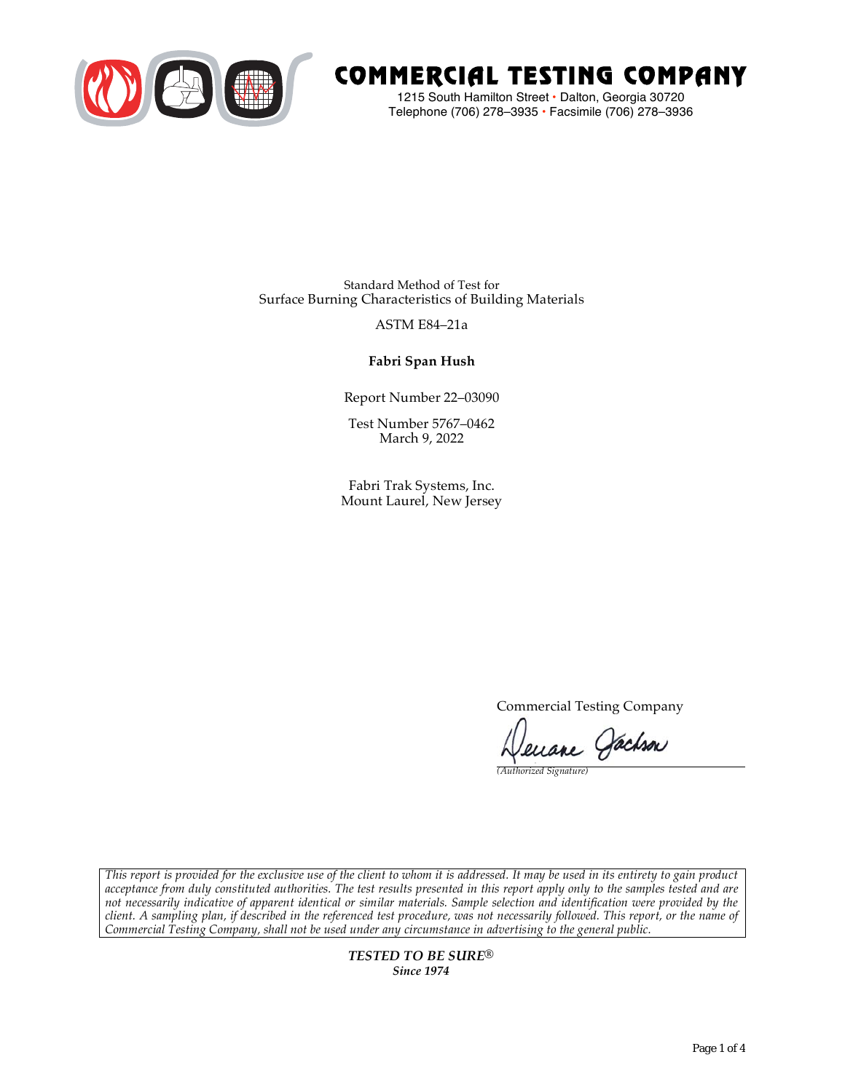

# COMMERCIAL TESTING COMPANY

1215 South Hamilton Street • Dalton, Georgia 30720 Telephone (706) 278–3935 **•** Facsimile (706) 278–3936

Standard Method of Test for Surface Burning Characteristics of Building Materials

### ASTM E84–21a

## **Fabri Span Hush**

Report Number 22–03090

Test Number 5767–0462 March 9, 2022

Fabri Trak Systems, Inc. Mount Laurel, New Jersey

Commercial Testing Company

Jenane Jachson

*(Authorized Signature)* 

*This report is provided for the exclusive use of the client to whom it is addressed. It may be used in its entirety to gain product acceptance from duly constituted authorities. The test results presented in this report apply only to the samples tested and are not necessarily indicative of apparent identical or similar materials. Sample selection and identification were provided by the client. A sampling plan, if described in the referenced test procedure, was not necessarily followed. This report, or the name of Commercial Testing Company, shall not be used under any circumstance in advertising to the general public.* 

> *TESTED TO BE SURE® Since 1974*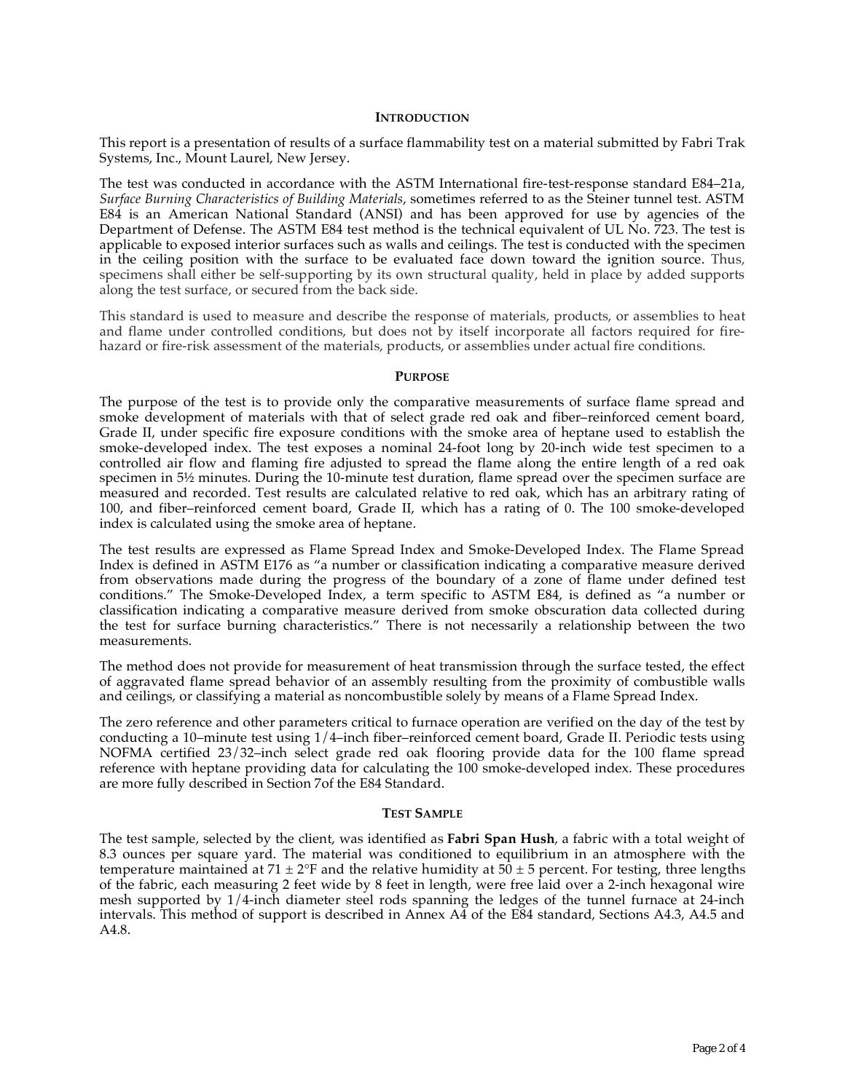#### **INTRODUCTION**

This report is a presentation of results of a surface flammability test on a material submitted by Fabri Trak Systems, Inc., Mount Laurel, New Jersey.

The test was conducted in accordance with the ASTM International fire-test-response standard E84–21a, *Surface Burning Characteristics of Building Materials*, sometimes referred to as the Steiner tunnel test. ASTM E84 is an American National Standard (ANSI) and has been approved for use by agencies of the Department of Defense. The ASTM E84 test method is the technical equivalent of UL No. 723. The test is applicable to exposed interior surfaces such as walls and ceilings. The test is conducted with the specimen in the ceiling position with the surface to be evaluated face down toward the ignition source. Thus, specimens shall either be self-supporting by its own structural quality, held in place by added supports along the test surface, or secured from the back side.

This standard is used to measure and describe the response of materials, products, or assemblies to heat and flame under controlled conditions, but does not by itself incorporate all factors required for firehazard or fire-risk assessment of the materials, products, or assemblies under actual fire conditions.

#### **PURPOSE**

The purpose of the test is to provide only the comparative measurements of surface flame spread and smoke development of materials with that of select grade red oak and fiber–reinforced cement board, Grade II, under specific fire exposure conditions with the smoke area of heptane used to establish the smoke-developed index. The test exposes a nominal 24-foot long by 20-inch wide test specimen to a controlled air flow and flaming fire adjusted to spread the flame along the entire length of a red oak specimen in  $5\frac{1}{2}$  minutes. During the 10-minute test duration, flame spread over the specimen surface are measured and recorded. Test results are calculated relative to red oak, which has an arbitrary rating of 100, and fiber–reinforced cement board, Grade II, which has a rating of 0. The 100 smoke-developed index is calculated using the smoke area of heptane.

The test results are expressed as Flame Spread Index and Smoke-Developed Index. The Flame Spread Index is defined in ASTM E176 as "a number or classification indicating a comparative measure derived from observations made during the progress of the boundary of a zone of flame under defined test conditions." The Smoke-Developed Index, a term specific to ASTM E84, is defined as "a number or classification indicating a comparative measure derived from smoke obscuration data collected during the test for surface burning characteristics." There is not necessarily a relationship between the two measurements.

The method does not provide for measurement of heat transmission through the surface tested, the effect of aggravated flame spread behavior of an assembly resulting from the proximity of combustible walls and ceilings, or classifying a material as noncombustible solely by means of a Flame Spread Index.

The zero reference and other parameters critical to furnace operation are verified on the day of the test by conducting a 10–minute test using 1/4–inch fiber–reinforced cement board, Grade II. Periodic tests using NOFMA certified 23/32–inch select grade red oak flooring provide data for the 100 flame spread reference with heptane providing data for calculating the 100 smoke-developed index. These procedures are more fully described in Section 7of the E84 Standard.

#### **TEST SAMPLE**

The test sample, selected by the client, was identified as **Fabri Span Hush**, a fabric with a total weight of 8.3 ounces per square yard. The material was conditioned to equilibrium in an atmosphere with the temperature maintained at  $71 \pm 2$ °F and the relative humidity at  $50 \pm 5$  percent. For testing, three lengths of the fabric, each measuring 2 feet wide by 8 feet in length, were free laid over a 2-inch hexagonal wire mesh supported by 1/4-inch diameter steel rods spanning the ledges of the tunnel furnace at 24-inch intervals. This method of support is described in Annex A4 of the E84 standard, Sections A4.3, A4.5 and A4.8.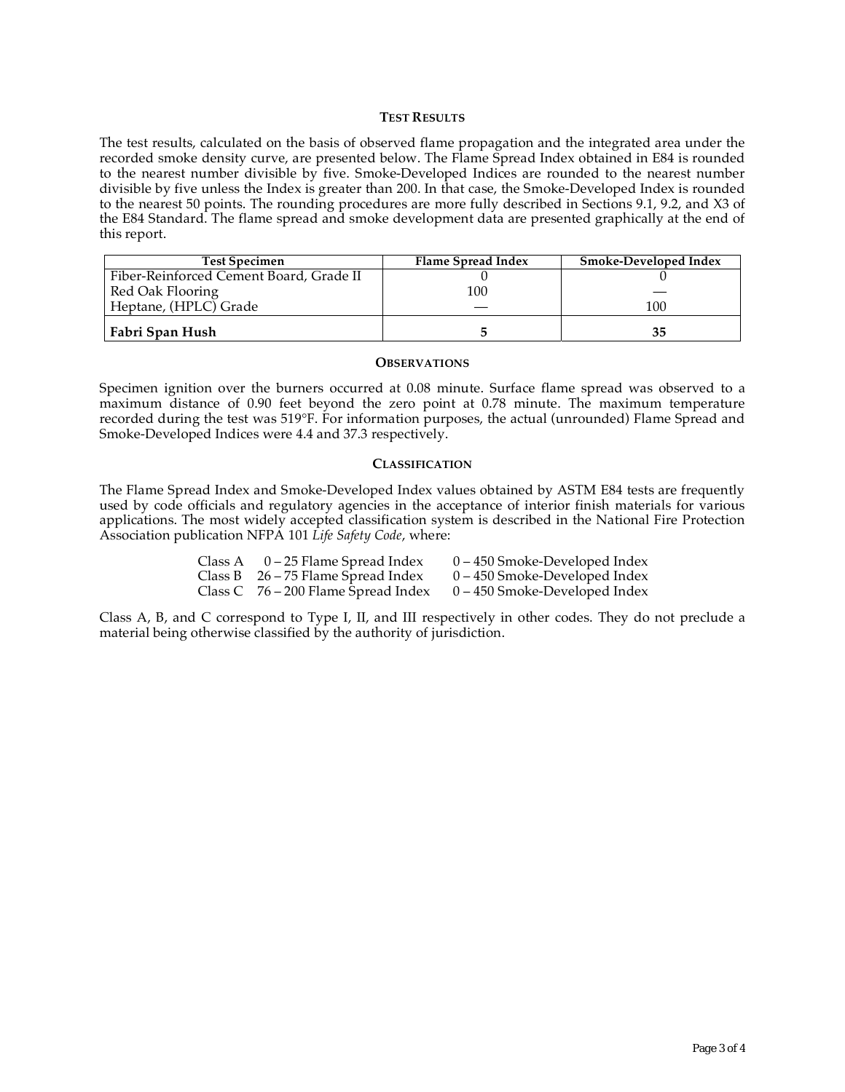#### **TEST RESULTS**

The test results, calculated on the basis of observed flame propagation and the integrated area under the recorded smoke density curve, are presented below. The Flame Spread Index obtained in E84 is rounded to the nearest number divisible by five. Smoke-Developed Indices are rounded to the nearest number divisible by five unless the Index is greater than 200. In that case, the Smoke-Developed Index is rounded to the nearest 50 points. The rounding procedures are more fully described in Sections 9.1, 9.2, and X3 of the E84 Standard. The flame spread and smoke development data are presented graphically at the end of this report.

| <b>Test Specimen</b>                    | Flame Spread Index | <b>Smoke-Developed Index</b> |
|-----------------------------------------|--------------------|------------------------------|
| Fiber-Reinforced Cement Board, Grade II |                    |                              |
| Red Oak Flooring                        | 100                |                              |
| Heptane, (HPLC) Grade                   |                    | 100                          |
| Fabri Span Hush                         |                    |                              |

#### **OBSERVATIONS**

Specimen ignition over the burners occurred at 0.08 minute. Surface flame spread was observed to a maximum distance of 0.90 feet beyond the zero point at 0.78 minute. The maximum temperature recorded during the test was 519°F. For information purposes, the actual (unrounded) Flame Spread and Smoke-Developed Indices were 4.4 and 37.3 respectively.

#### **CLASSIFICATION**

The Flame Spread Index and Smoke-Developed Index values obtained by ASTM E84 tests are frequently used by code officials and regulatory agencies in the acceptance of interior finish materials for various applications. The most widely accepted classification system is described in the National Fire Protection Association publication NFPA 101 *Life Safety Code*, where:

| Class A $0-25$ Flame Spread Index     | $0 - 450$ Smoke-Developed Index |
|---------------------------------------|---------------------------------|
| Class B $26 - 75$ Flame Spread Index  | $0 - 450$ Smoke-Developed Index |
| Class C $76 - 200$ Flame Spread Index | $0 - 450$ Smoke-Developed Index |

Class A, B, and C correspond to Type I, II, and III respectively in other codes. They do not preclude a material being otherwise classified by the authority of jurisdiction.